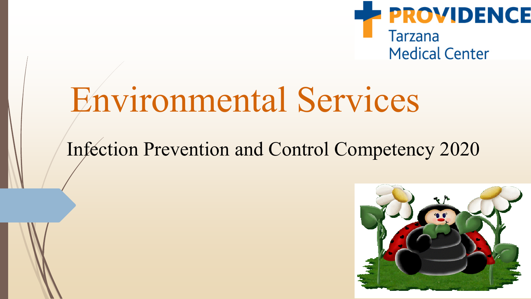

# Environmental Services

### Infection Prevention and Control Competency 2020

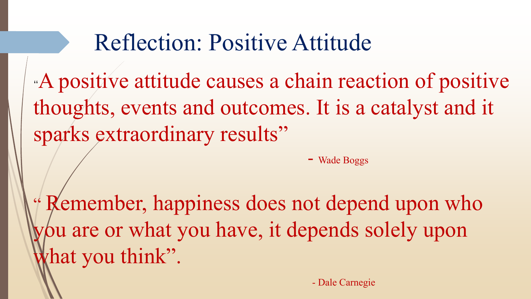## Reflection: Positive Attitude

"A positive attitude causes a chain reaction of positive thoughts, events and outcomes. It is a catalyst and it sparks extraordinary results"

- Wade Boggs

" Remember, happiness does not depend upon who you are or what you have, it depends solely upon hat you think".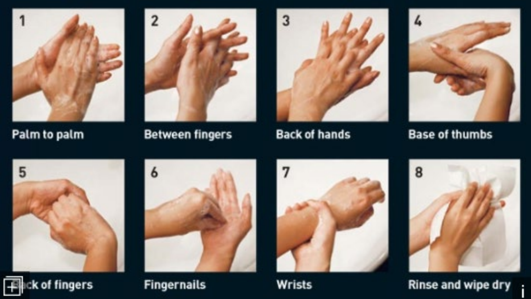Palm to palm

 $\overline{2}$ 



**Between fingers** 



**Back of hands** 



**Base of thumbs** 



H



**Fingernails** 



Wrists



Rinse and wipe dry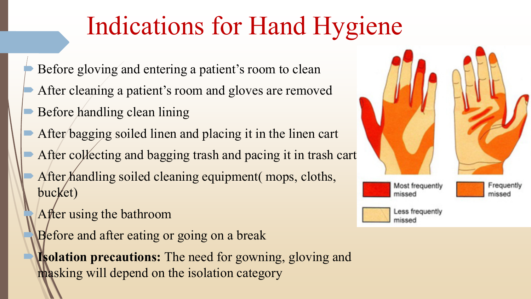# Indications for Hand Hygiene

- Before gloving and entering a patient's room to clean
- After cleaning a patient's room and gloves are removed
- Before handling clean lining
- After bagging soiled linen and placing it in the linen cart
- After collecting and bagging trash and pacing it in trash cart After handling soiled cleaning equipment (mops, cloths, bucket)
	- After using the bathroom
	- Before and after eating or going on a break
	- **Isolation precautions:** The need for gowning, gloving and masking will depend on the isolation category

![](_page_3_Picture_9.jpeg)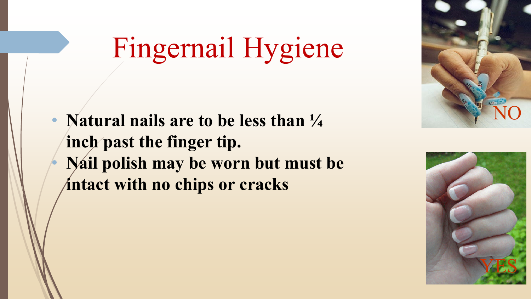# Fingernail Hygiene

• **Natural nails are to be less than ¼ inch past the finger tip.**  • **Nail polish may be worn but must be intact with no chips or cracks**

![](_page_4_Picture_2.jpeg)

![](_page_4_Picture_3.jpeg)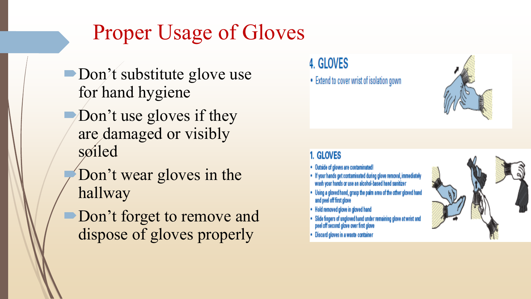## Proper Usage of Gloves

- Don't substitute glove use for hand hygiene
- $\Box$  Don't use gloves if they are damaged or visibly soiled
	- Don't wear gloves in the hallway
- Don't forget to remove and dispose of gloves properly

### 4. GLOVES

• Extend to cover wrist of isolation gown

#### 1. GLOVES

- Outside of gloves are contaminated!
- If your hands get contaminated during glove removal, immediately<br>wash your hands or use an alcohol-based hand sanitizer
- . Using a gloved hand, grasp the palm area of the other gloved hand and peel off first glove
- Hold removed glove in gloved hand
- Slide fingers of ungloved hand under remaining glove at wrist and peel off second glove over first glove
- · Discard gloves in a waste container

![](_page_5_Picture_14.jpeg)

![](_page_5_Picture_15.jpeg)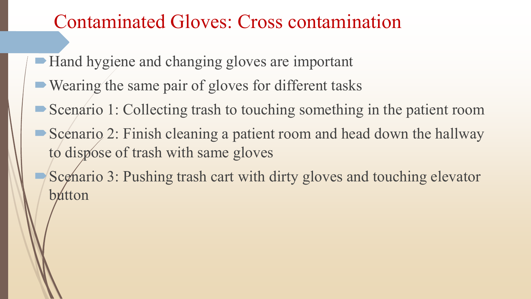### Contaminated Gloves: Cross contamination

- Hand hygiene and changing gloves are important
- Wearing the same pair of gloves for different tasks
- Scenario 1: Collecting trash to touching something in the patient room
- Scenario 2: Finish cleaning a patient room and head down the hallway to dispose of trash with same gloves
- Scenario 3: Pushing trash cart with dirty gloves and touching elevator bútton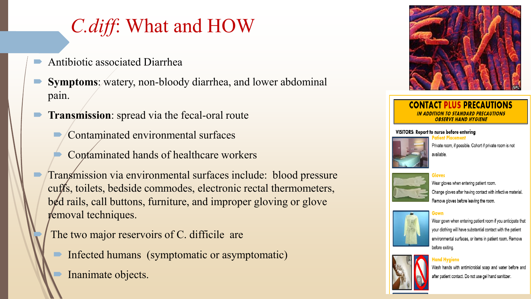### *C.diff*: What and HOW

- Antibiotic associated Diarrhea
- **Symptoms**: watery, non-bloody diarrhea, and lower abdominal pain.
- **Transmission**: spread via the fecal-oral route
	- Contaminated environmental surfaces
	- Contaminated hands of healthcare workers
- Transmission via environmental surfaces include: blood pressure cuffs, toilets, bedside commodes, electronic rectal thermometers, bed rails, call buttons, furniture, and improper gloving or glove removal techniques.

The two major reservoirs of C. difficile are

- Infected humans (symptomatic or asymptomatic)
- Inanimate objects.

![](_page_7_Picture_10.jpeg)

#### **CONTACT PLUS PRECAUTIONS** IN ADDITION TO STANDARD PRECAUTIONS **OBSERVE HAND HYGIENE**

#### VISITORS: Report to nurse before entering

![](_page_7_Picture_13.jpeg)

Private room, if possible. Cohort if private room is not available

![](_page_7_Picture_15.jpeg)

Wear gloves when entering patient room. Change gloves after having contact with infective material. Remove gloves before leaving the room.

![](_page_7_Picture_17.jpeg)

Wear gown when entering patient room if you anticipate that your clothing will have substantial contact with the patient environmental surfaces, or items in patient room. Remove before exiting.

![](_page_7_Picture_19.jpeg)

Wash hands with antimicrobial soap and water before and after patient contact. Do not use gel hand sanitizer.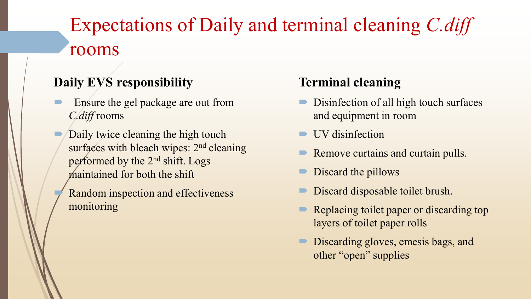## Expectations of Daily and terminal cleaning *C.diff* rooms

### **Daily EVS responsibility**

- Ensure the gel package are out from *C.diff* rooms
- Daily twice cleaning the high touch surfaces with bleach wipes: 2<sup>nd</sup> cleaning performed by the 2nd shift. Logs maintained for both the shift
	- Random inspection and effectiveness monitoring

### **Terminal cleaning**

- Disinfection of all high touch surfaces and equipment in room
- UV disinfection
- Remove curtains and curtain pulls.
- Discard the pillows
- Discard disposable toilet brush.
- Replacing toilet paper or discarding top layers of toilet paper rolls
- Discarding gloves, emesis bags, and other "open" supplies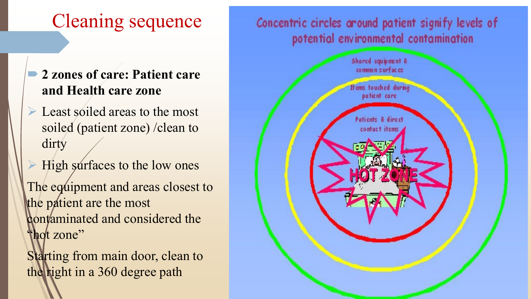### Cleaning sequence

- **2 zones of care: Patient care and Health care zone**
- Executed areas to the most soiled (patient zone) /clean to dirty
- High surfaces to the low ones

The equipment and areas closest to the patient are the most contaminated and considered the "hot zone"

Starting from main door, clean to the right in a 360 degree path

### Concentric circles around patient signify levels of potential environmental contamination

![](_page_9_Figure_7.jpeg)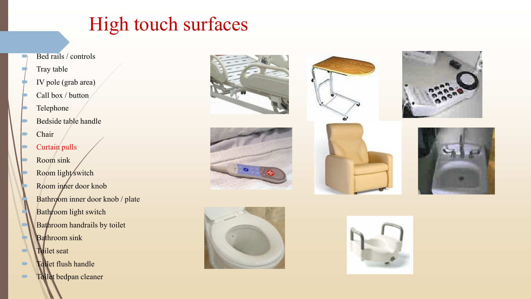### High touch surfaces

- $\rightarrow$  Bed rails / controls
	- Tray table
	- IV pole (grab area)
	- Call box / button
	- Telephone
	- Bedside table handle
	- Chair
	- Curtain pulls
	- Room sink Room light switch Room inner door knob Bathroom inner door knob / plate Bathroom light switch Bathroom handrails by toilet Bathroom sink
- **Toilet seat**
- **Tollet flush handle**
- **Toilet bedpan cleaner**

![](_page_10_Picture_13.jpeg)

![](_page_10_Picture_14.jpeg)

![](_page_10_Picture_15.jpeg)

![](_page_10_Picture_16.jpeg)

![](_page_10_Picture_17.jpeg)

![](_page_10_Picture_18.jpeg)

![](_page_10_Picture_19.jpeg)

![](_page_10_Picture_20.jpeg)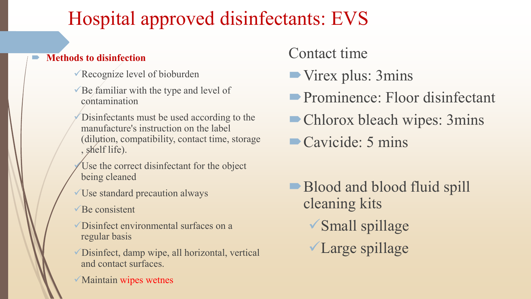### Hospital approved disinfectants: EVS

#### **Methods to disinfection**

- Recognize level of bioburden
- $\checkmark$  Be familiar with the type and level of contamination
- Disinfectants must be used according to the manufacture's instruction on the label (dilution, compatibility, contact time, storage , shelf life).
- Use the correct disinfectant for the object being cleaned
- Use standard precaution always
- $\sqrt{\text{Be}}$  consistent
- Disinfect environmental surfaces on a regular basis
- Disinfect, damp wipe, all horizontal, vertical and contact surfaces.
- $\sqrt{\frac{1}{1}}$ Maintain wipes wetnes
- Contact time
- Virex plus: 3mins
- Prominence: Floor disinfectant
- Chlorox bleach wipes: 3mins
- Cavicide: 5 mins
- Blood and blood fluid spill cleaning kits Small spillage Large spillage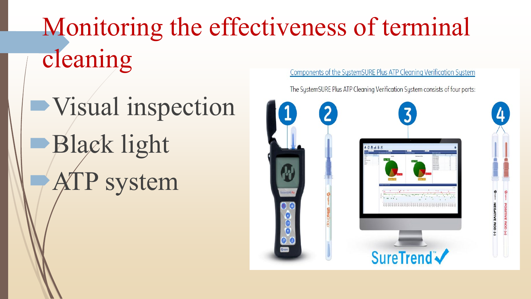### Monitoring the effectiveness of terminal cleaning Components of the SystemSURE Plus ATP Cleaning Verification System

Visual inspection Black light ATP system

The SystemSURE Plus ATP Cleaning Verification System consists of four parts:

![](_page_12_Picture_3.jpeg)

NEGATIVE ROD (-

OSITIVE ROD (+)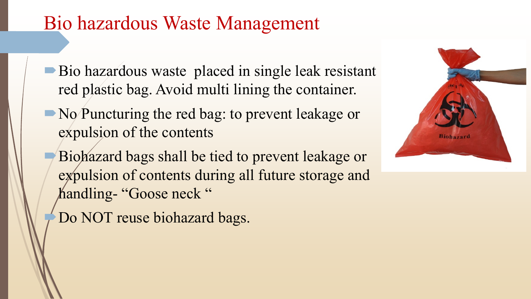### Bio hazardous Waste Management

- Bio hazardous waste placed in single leak resistant red plastic bag. Avoid multi lining the container.
- No Puncturing the red bag: to prevent leakage or expulsion of the contents
	- Biohazard bags shall be tied to prevent leakage or expulsion of contents during all future storage and handling- "Goose neck "
	- Do NOT reuse biohazard bags.

![](_page_13_Picture_5.jpeg)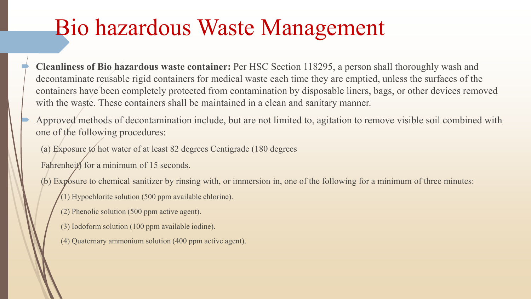## Bio hazardous Waste Management

 **Cleanliness of Bio hazardous waste container:** Per HSC Section 118295, a person shall thoroughly wash and decontaminate reusable rigid containers for medical waste each time they are emptied, unless the surfaces of the containers have been completely protected from contamination by disposable liners, bags, or other devices removed with the waste. These containers shall be maintained in a clean and sanitary manner.

 Approved methods of decontamination include, but are not limited to, agitation to remove visible soil combined with one of the following procedures:

(a) Exposure to hot water of at least 82 degrees Centigrade (180 degrees

Fahrenheit) for a minimum of 15 seconds.

(b) Exposure to chemical sanitizer by rinsing with, or immersion in, one of the following for a minimum of three minutes:

- $(1)$  Hypochlorite solution (500 ppm available chlorine).
- (2) Phenolic solution (500 ppm active agent).
- (3) Iodoform solution (100 ppm available iodine).
- (4) Quaternary ammonium solution (400 ppm active agent).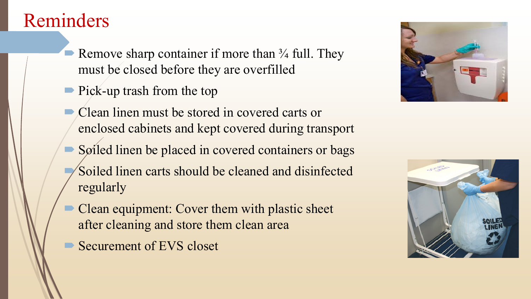### Reminders

- Remove sharp container if more than  $\frac{3}{4}$  full. They must be closed before they are overfilled
- **Pick-up trash from the top**
- Clean linen must be stored in covered carts or enclosed cabinets and kept covered during transport
- Soiled linen be placed in covered containers or bags Soiled linen carts should be cleaned and disinfected regularly
- Clean equipment: Cover them with plastic sheet after cleaning and store them clean area
- Securement of EVS closet

![](_page_15_Picture_7.jpeg)

![](_page_15_Picture_8.jpeg)